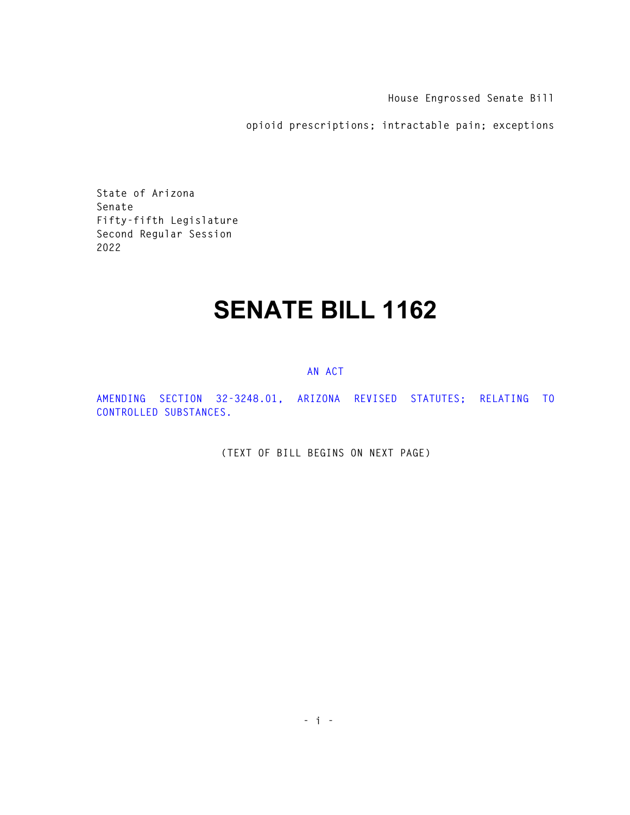**House Engrossed Senate Bill** 

**opioid prescriptions; intractable pain; exceptions** 

**State of Arizona Senate Fifty-fifth Legislature Second Regular Session 2022** 

## **SENATE BILL 1162**

## **AN ACT**

**AMENDING SECTION 32-3248.01, ARIZONA REVISED STATUTES; RELATING TO CONTROLLED SUBSTANCES.** 

**(TEXT OF BILL BEGINS ON NEXT PAGE)**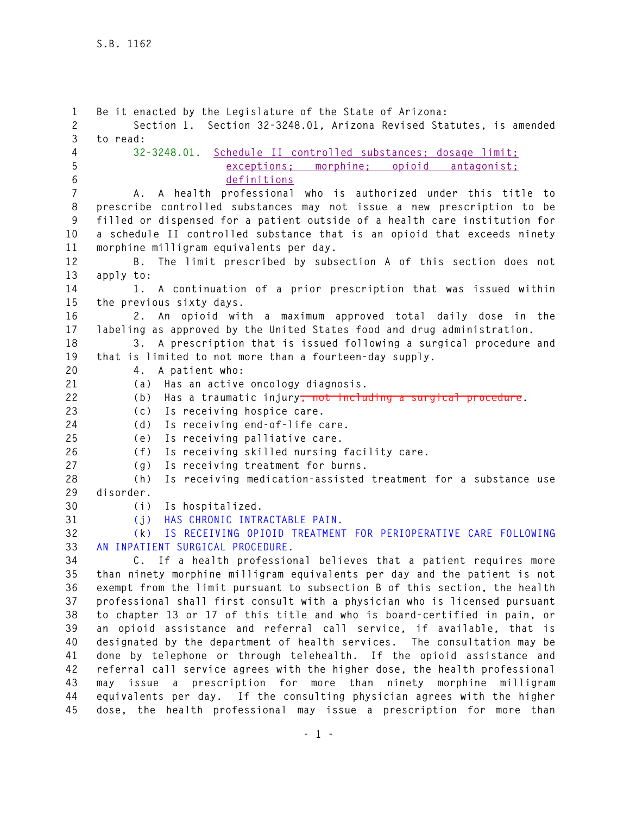**1 Be it enacted by the Legislature of the State of Arizona: 2 Section 1. Section 32-3248.01, Arizona Revised Statutes, is amended 3 to read: 4 32-3248.01. Schedule II controlled substances; dosage limit; 5 exceptions; morphine; opioid antagonist; 6 definitions 7 A. A health professional who is authorized under this title to 8 prescribe controlled substances may not issue a new prescription to be 9 filled or dispensed for a patient outside of a health care institution for 10 a schedule II controlled substance that is an opioid that exceeds ninety 11 morphine milligram equivalents per day. 12 B. The limit prescribed by subsection A of this section does not 13 apply to: 14 1. A continuation of a prior prescription that was issued within 15 the previous sixty days. 16 2. An opioid with a maximum approved total daily dose in the 17 labeling as approved by the United States food and drug administration. 18 3. A prescription that is issued following a surgical procedure and 19 that is limited to not more than a fourteen-day supply. 20 4. A patient who: 21 (a) Has an active oncology diagnosis. 22 (b) Has a traumatic injury, not including a surgical procedure. 23 (c) Is receiving hospice care. 24 (d) Is receiving end-of-life care. 25 (e) Is receiving palliative care. 26 (f) Is receiving skilled nursing facility care. 27 (g) Is receiving treatment for burns. 28 (h) Is receiving medication-assisted treatment for a substance use 29 disorder. 30 (i) Is hospitalized. 31 (j) HAS CHRONIC INTRACTABLE PAIN. 32 (k) IS RECEIVING OPIOID TREATMENT FOR PERIOPERATIVE CARE FOLLOWING 33 AN INPATIENT SURGICAL PROCEDURE. 34 C. If a health professional believes that a patient requires more 35 than ninety morphine milligram equivalents per day and the patient is not 36 exempt from the limit pursuant to subsection B of this section, the health 37 professional shall first consult with a physician who is licensed pursuant 38 to chapter 13 or 17 of this title and who is board-certified in pain, or 39 an opioid assistance and referral call service, if available, that is 40 designated by the department of health services. The consultation may be 41 done by telephone or through telehealth. If the opioid assistance and 42 referral call service agrees with the higher dose, the health professional 43 may issue a prescription for more than ninety morphine milligram 44 equivalents per day. If the consulting physician agrees with the higher**